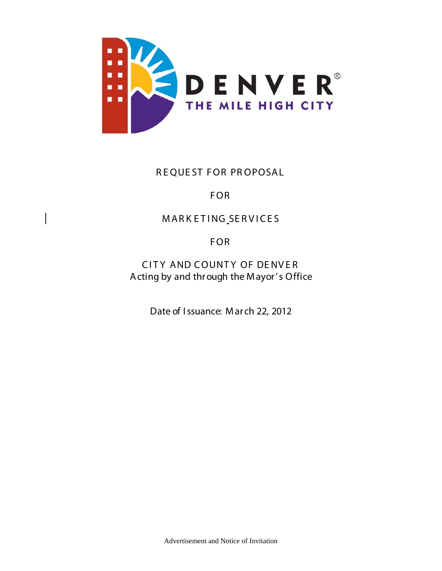

## R E QUE ST FOR PR OPOSAL

# FOR

# MARK ETING SERVICES

# FOR

CITY AND COUNTY OF DENVER A cting by and through the Mayor's Office

Date of I ssuance: M ar ch 22, 2012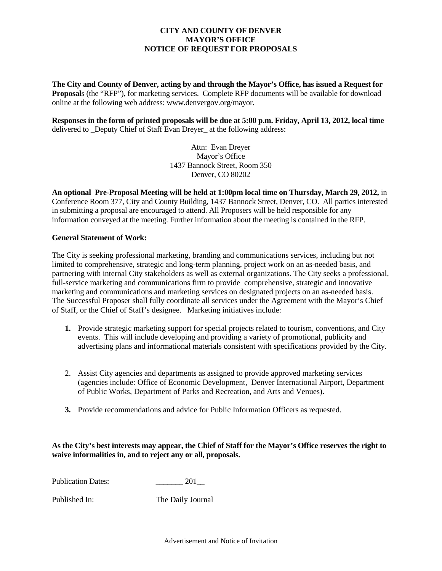#### **CITY AND COUNTY OF DENVER MAYOR'S OFFICE NOTICE OF REQUEST FOR PROPOSALS**

**The City and County of Denver, acting by and through the Mayor's Office, has issued a Request for Proposal**s (the "RFP"), for marketing services. Complete RFP documents will be available for download online at the following web address: www.denvergov.org/mayor.

**Responses in the form of printed proposals will be due at 5:00 p.m. Friday, April 13, 2012, local time**  delivered to Deputy Chief of Staff Evan Dreyer at the following address:

> Attn: Evan Dreyer Mayor's Office 1437 Bannock Street, Room 350 Denver, CO 80202

**An optional Pre-Proposal Meeting will be held at 1:00pm local time on Thursday, March 29, 2012,** in Conference Room 377, City and County Building, 1437 Bannock Street, Denver, CO. All parties interested in submitting a proposal are encouraged to attend. All Proposers will be held responsible for any information conveyed at the meeting. Further information about the meeting is contained in the RFP.

#### **General Statement of Work:**

The City is seeking professional marketing, branding and communications services, including but not limited to comprehensive, strategic and long-term planning, project work on an as-needed basis, and partnering with internal City stakeholders as well as external organizations. The City seeks a professional, full-service marketing and communications firm to provide comprehensive, strategic and innovative marketing and communications and marketing services on designated projects on an as-needed basis. The Successful Proposer shall fully coordinate all services under the Agreement with the Mayor's Chief of Staff, or the Chief of Staff's designee. Marketing initiatives include:

- **1.** Provide strategic marketing support for special projects related to tourism, conventions, and City events. This will include developing and providing a variety of promotional, publicity and advertising plans and informational materials consistent with specifications provided by the City.
- 2. Assist City agencies and departments as assigned to provide approved marketing services (agencies include: Office of Economic Development, Denver International Airport, Department of Public Works, Department of Parks and Recreation, and Arts and Venues).
- **3.** Provide recommendations and advice for Public Information Officers as requested.

#### **As the City's best interests may appear, the Chief of Staff for the Mayor's Office reserves the right to waive informalities in, and to reject any or all, proposals.**

Publication Dates: 201

Published In: The Daily Journal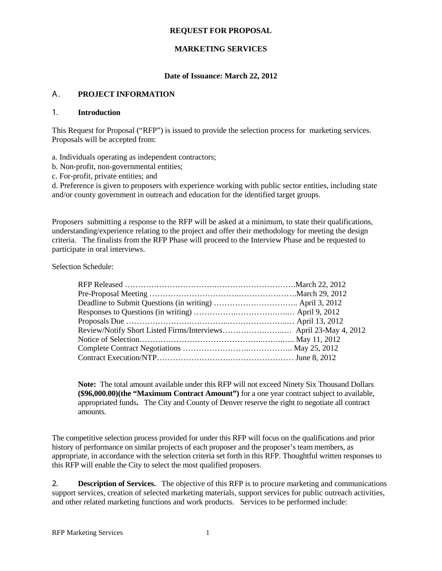#### **REQUEST FOR PROPOSAL**

#### **MARKETING SERVICES**

#### **Date of Issuance: March 22, 2012**

#### A. **PROJECT INFORMATION**

#### 1. **Introduction**

This Request for Proposal ("RFP") is issued to provide the selection process for marketing services. Proposals will be accepted from:

a. Individuals operating as independent contractors;

b. Non‐profit, non‐governmental entities;

c. For‐profit, private entities; and

d. Preference is given to proposers with experience working with public sector entities, including state and/or county government in outreach and education for the identified target groups.

Proposers submitting a response to the RFP will be asked at a minimum, to state their qualifications, understanding/experience relating to the project and offer their methodology for meeting the design criteria. The finalists from the RFP Phase will proceed to the Interview Phase and be requested to participate in oral interviews.

Selection Schedule:

**Note:** The total amount available under this RFP will not exceed Ninety Six Thousand Dollars **(\$96,000.00)(the "Maximum Contract Amount")** for a one year contract subject to available, appropriated funds**.** The City and County of Denver reserve the right to negotiate all contract amounts.

The competitive selection process provided for under this RFP will focus on the qualifications and prior history of performance on similar projects of each proposer and the proposer's team members, as appropriate, in accordance with the selection criteria set forth in this RFP. Thoughtful written responses to this RFP will enable the City to select the most qualified proposers.

2. **Description of Services.** The objective of this RFP is to procure marketing and communications support services, creation of selected marketing materials, support services for public outreach activities, and other related marketing functions and work products. Services to be performed include: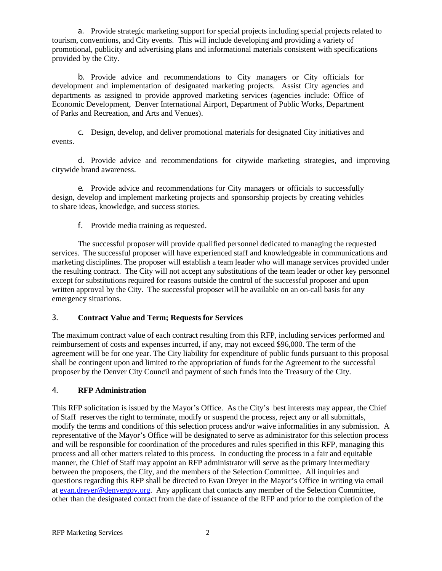a. Provide strategic marketing support for special projects including special projects related to tourism, conventions, and City events. This will include developing and providing a variety of promotional, publicity and advertising plans and informational materials consistent with specifications provided by the City.

b. Provide advice and recommendations to City managers or City officials for development and implementation of designated marketing projects. Assist City agencies and departments as assigned to provide approved marketing services (agencies include: Office of Economic Development, Denver International Airport, Department of Public Works, Department of Parks and Recreation, and Arts and Venues).

c. Design, develop, and deliver promotional materials for designated City initiatives and events.

d. Provide advice and recommendations for citywide marketing strategies, and improving citywide brand awareness.

e. Provide advice and recommendations for City managers or officials to successfully design, develop and implement marketing projects and sponsorship projects by creating vehicles to share ideas, knowledge, and success stories.

f. Provide media training as requested.

The successful proposer will provide qualified personnel dedicated to managing the requested services. The successful proposer will have experienced staff and knowledgeable in communications and marketing disciplines. The proposer will establish a team leader who will manage services provided under the resulting contract. The City will not accept any substitutions of the team leader or other key personnel except for substitutions required for reasons outside the control of the successful proposer and upon written approval by the City. The successful proposer will be available on an on-call basis for any emergency situations.

## 3. **Contract Value and Term; Requests for Services**

The maximum contract value of each contract resulting from this RFP, including services performed and reimbursement of costs and expenses incurred, if any, may not exceed \$96,000. The term of the agreement will be for one year. The City liability for expenditure of public funds pursuant to this proposal shall be contingent upon and limited to the appropriation of funds for the Agreement to the successful proposer by the Denver City Council and payment of such funds into the Treasury of the City.

#### 4. **RFP Administration**

This RFP solicitation is issued by the Mayor's Office. As the City's best interests may appear, the Chief of Staff reserves the right to terminate, modify or suspend the process, reject any or all submittals, modify the terms and conditions of this selection process and/or waive informalities in any submission. A representative of the Mayor's Office will be designated to serve as administrator for this selection process and will be responsible for coordination of the procedures and rules specified in this RFP, managing this process and all other matters related to this process. In conducting the process in a fair and equitable manner, the Chief of Staff may appoint an RFP administrator will serve as the primary intermediary between the proposers, the City, and the members of the Selection Committee. All inquiries and questions regarding this RFP shall be directed to Evan Dreyer in the Mayor's Office in writing via email at [evan.dreyer@denvergov.org.](mailto:evan.dreyer@denvergov.org) Any applicant that contacts any member of the Selection Committee, other than the designated contact from the date of issuance of the RFP and prior to the completion of the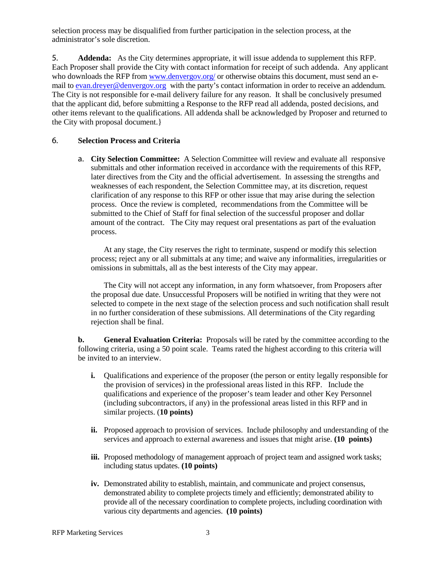selection process may be disqualified from further participation in the selection process, at the administrator's sole discretion.

5. **Addenda:** As the City determines appropriate, it will issue addenda to supplement this RFP. Each Proposer shall provide the City with contact information for receipt of such addenda. Any applicant who downloads the RFP fro[m www.denvergov.org/](http://www.denvergov.org/) or otherwise obtains this document, must send an email to [evan.dreyer@denvergov.org](mailto:evan.dreyer@denvergov.org) with the party's contact information in order to receive an addendum. The City is not responsible for e-mail delivery failure for any reason. It shall be conclusively presumed that the applicant did, before submitting a Response to the RFP read all addenda, posted decisions, and other items relevant to the qualifications. All addenda shall be acknowledged by Proposer and returned to the City with proposal document.}

## 6. **Selection Process and Criteria**

a. **City Selection Committee:** A Selection Committee will review and evaluate all responsive submittals and other information received in accordance with the requirements of this RFP, later directives from the City and the official advertisement. In assessing the strengths and weaknesses of each respondent, the Selection Committee may, at its discretion, request clarification of any response to this RFP or other issue that may arise during the selection process. Once the review is completed, recommendations from the Committee will be submitted to the Chief of Staff for final selection of the successful proposer and dollar amount of the contract. The City may request oral presentations as part of the evaluation process.

At any stage, the City reserves the right to terminate, suspend or modify this selection process; reject any or all submittals at any time; and waive any informalities, irregularities or omissions in submittals, all as the best interests of the City may appear.

The City will not accept any information, in any form whatsoever, from Proposers after the proposal due date. Unsuccessful Proposers will be notified in writing that they were not selected to compete in the next stage of the selection process and such notification shall result in no further consideration of these submissions. All determinations of the City regarding rejection shall be final.

**b. General Evaluation Criteria:** Proposals will be rated by the committee according to the following criteria, using a 50 point scale. Teams rated the highest according to this criteria will be invited to an interview.

- **i.** Qualifications and experience of the proposer (the person or entity legally responsible for the provision of services) in the professional areas listed in this RFP. Include the qualifications and experience of the proposer's team leader and other Key Personnel (including subcontractors, if any) in the professional areas listed in this RFP and in similar projects. (**10 points)**
- **ii.** Proposed approach to provision of services. Include philosophy and understanding of the services and approach to external awareness and issues that might arise. **(10 points)**
- **iii.** Proposed methodology of management approach of project team and assigned work tasks; including status updates. **(10 points)**
- **iv.** Demonstrated ability to establish, maintain, and communicate and project consensus, demonstrated ability to complete projects timely and efficiently; demonstrated ability to provide all of the necessary coordination to complete projects, including coordination with various city departments and agencies. **(10 points)**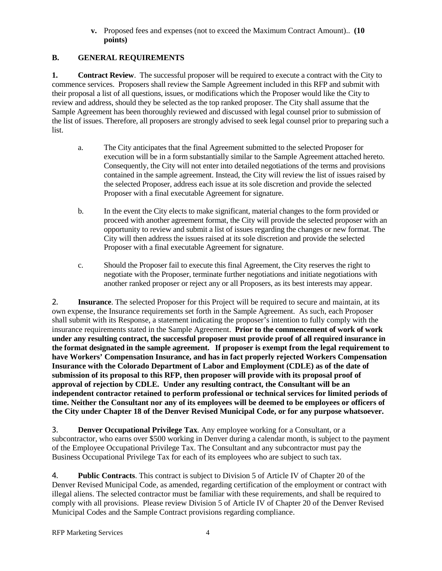#### **v.** Proposed fees and expenses (not to exceed the Maximum Contract Amount).. **(10 points)**

## **B. GENERAL REQUIREMENTS**

**1. Contract Review**. The successful proposer will be required to execute a contract with the City to commence services. Proposers shall review the Sample Agreement included in this RFP and submit with their proposal a list of all questions, issues, or modifications which the Proposer would like the City to review and address, should they be selected as the top ranked proposer. The City shall assume that the Sample Agreement has been thoroughly reviewed and discussed with legal counsel prior to submission of the list of issues. Therefore, all proposers are strongly advised to seek legal counsel prior to preparing such a list.

- a. The City anticipates that the final Agreement submitted to the selected Proposer for execution will be in a form substantially similar to the Sample Agreement attached hereto. Consequently, the City will not enter into detailed negotiations of the terms and provisions contained in the sample agreement. Instead, the City will review the list of issues raised by the selected Proposer, address each issue at its sole discretion and provide the selected Proposer with a final executable Agreement for signature.
- b. In the event the City elects to make significant, material changes to the form provided or proceed with another agreement format, the City will provide the selected proposer with an opportunity to review and submit a list of issues regarding the changes or new format. The City will then address the issues raised at its sole discretion and provide the selected Proposer with a final executable Agreement for signature.
- c. Should the Proposer fail to execute this final Agreement, the City reserves the right to negotiate with the Proposer, terminate further negotiations and initiate negotiations with another ranked proposer or reject any or all Proposers, as its best interests may appear.

2. **Insurance**. The selected Proposer for this Project will be required to secure and maintain, at its own expense, the Insurance requirements set forth in the Sample Agreement. As such, each Proposer shall submit with its Response, a statement indicating the proposer's intention to fully comply with the insurance requirements stated in the Sample Agreement. **Prior to the commencement of work of work under any resulting contract, the successful proposer must provide proof of all required insurance in the format designated in the sample agreement. If proposer is exempt from the legal requirement to have Workers' Compensation Insurance, and has in fact properly rejected Workers Compensation Insurance with the Colorado Department of Labor and Employment (CDLE) as of the date of submission of its proposal to this RFP, then proposer will provide with its proposal proof of approval of rejection by CDLE. Under any resulting contract, the Consultant will be an independent contractor retained to perform professional or technical services for limited periods of time. Neither the Consultant nor any of its employees will be deemed to be employees or officers of the City under Chapter 18 of the Denver Revised Municipal Code, or for any purpose whatsoever.**

3. **Denver Occupational Privilege Tax**. Any employee working for a Consultant, or a subcontractor, who earns over \$500 working in Denver during a calendar month, is subject to the payment of the Employee Occupational Privilege Tax. The Consultant and any subcontractor must pay the Business Occupational Privilege Tax for each of its employees who are subject to such tax.

4. **Public Contracts**. This contract is subject to Division 5 of Article IV of Chapter 20 of the Denver Revised Municipal Code, as amended, regarding certification of the employment or contract with illegal aliens. The selected contractor must be familiar with these requirements, and shall be required to comply with all provisions. Please review Division 5 of Article IV of Chapter 20 of the Denver Revised Municipal Codes and the Sample Contract provisions regarding compliance.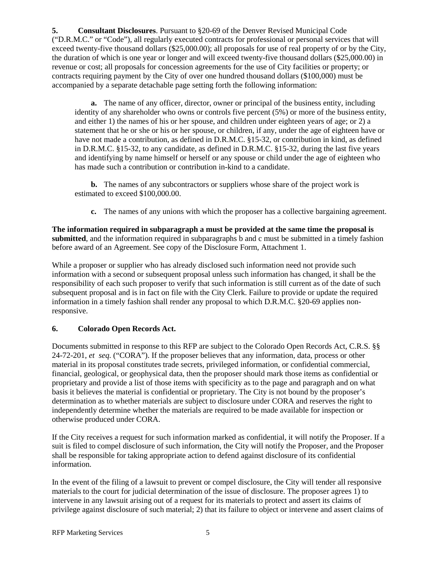**5. Consultant Disclosures**. Pursuant to §20-69 of the Denver Revised Municipal Code ("D.R.M.C." or "Code"), all regularly executed contracts for professional or personal services that will exceed twenty-five thousand dollars (\$25,000.00); all proposals for use of real property of or by the City, the duration of which is one year or longer and will exceed twenty-five thousand dollars (\$25,000.00) in revenue or cost; all proposals for concession agreements for the use of City facilities or property; or contracts requiring payment by the City of over one hundred thousand dollars (\$100,000) must be accompanied by a separate detachable page setting forth the following information:

**a.** The name of any officer, director, owner or principal of the business entity, including identity of any shareholder who owns or controls five percent (5%) or more of the business entity, and either 1) the names of his or her spouse, and children under eighteen years of age; or 2) a statement that he or she or his or her spouse, or children, if any, under the age of eighteen have or have not made a contribution, as defined in D.R.M.C. §15-32, or contribution in kind, as defined in D.R.M.C. §15-32, to any candidate, as defined in D.R.M.C. §15-32, during the last five years and identifying by name himself or herself or any spouse or child under the age of eighteen who has made such a contribution or contribution in-kind to a candidate.

**b.** The names of any subcontractors or suppliers whose share of the project work is estimated to exceed \$100,000.00.

**c.** The names of any unions with which the proposer has a collective bargaining agreement.

**The information required in subparagraph a must be provided at the same time the proposal is submitted**, and the information required in subparagraphs b and c must be submitted in a timely fashion before award of an Agreement. See copy of the Disclosure Form, Attachment 1.

While a proposer or supplier who has already disclosed such information need not provide such information with a second or subsequent proposal unless such information has changed, it shall be the responsibility of each such proposer to verify that such information is still current as of the date of such subsequent proposal and is in fact on file with the City Clerk. Failure to provide or update the required information in a timely fashion shall render any proposal to which D.R.M.C. §20-69 applies nonresponsive.

## **6. Colorado Open Records Act.**

Documents submitted in response to this RFP are subject to the Colorado Open Records Act, C.R.S. §§ 24-72-201, *et seq.* ("CORA"). If the proposer believes that any information, data, process or other material in its proposal constitutes trade secrets, privileged information, or confidential commercial, financial, geological, or geophysical data, then the proposer should mark those items as confidential or proprietary and provide a list of those items with specificity as to the page and paragraph and on what basis it believes the material is confidential or proprietary. The City is not bound by the proposer's determination as to whether materials are subject to disclosure under CORA and reserves the right to independently determine whether the materials are required to be made available for inspection or otherwise produced under CORA.

If the City receives a request for such information marked as confidential, it will notify the Proposer. If a suit is filed to compel disclosure of such information, the City will notify the Proposer, and the Proposer shall be responsible for taking appropriate action to defend against disclosure of its confidential information.

In the event of the filing of a lawsuit to prevent or compel disclosure, the City will tender all responsive materials to the court for judicial determination of the issue of disclosure. The proposer agrees 1) to intervene in any lawsuit arising out of a request for its materials to protect and assert its claims of privilege against disclosure of such material; 2) that its failure to object or intervene and assert claims of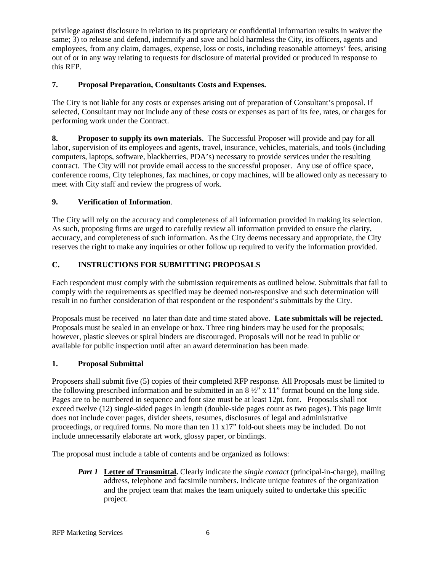privilege against disclosure in relation to its proprietary or confidential information results in waiver the same; 3) to release and defend, indemnify and save and hold harmless the City, its officers, agents and employees, from any claim, damages, expense, loss or costs, including reasonable attorneys' fees, arising out of or in any way relating to requests for disclosure of material provided or produced in response to this RFP.

## **7. Proposal Preparation, Consultants Costs and Expenses.**

The City is not liable for any costs or expenses arising out of preparation of Consultant's proposal. If selected, Consultant may not include any of these costs or expenses as part of its fee, rates, or charges for performing work under the Contract.

**8. Proposer to supply its own materials.** The Successful Proposer will provide and pay for all labor, supervision of its employees and agents, travel, insurance, vehicles, materials, and tools (including computers, laptops, software, blackberries, PDA's) necessary to provide services under the resulting contract. The City will not provide email access to the successful proposer. Any use of office space, conference rooms, City telephones, fax machines, or copy machines, will be allowed only as necessary to meet with City staff and review the progress of work.

## **9. Verification of Information**.

The City will rely on the accuracy and completeness of all information provided in making its selection. As such, proposing firms are urged to carefully review all information provided to ensure the clarity, accuracy, and completeness of such information. As the City deems necessary and appropriate, the City reserves the right to make any inquiries or other follow up required to verify the information provided.

## **C. INSTRUCTIONS FOR SUBMITTING PROPOSALS**

Each respondent must comply with the submission requirements as outlined below. Submittals that fail to comply with the requirements as specified may be deemed non-responsive and such determination will result in no further consideration of that respondent or the respondent's submittals by the City.

Proposals must be received no later than date and time stated above. **Late submittals will be rejected.**  Proposals must be sealed in an envelope or box. Three ring binders may be used for the proposals; however, plastic sleeves or spiral binders are discouraged. Proposals will not be read in public or available for public inspection until after an award determination has been made.

## **1. Proposal Submittal**

Proposers shall submit five (5) copies of their completed RFP response. All Proposals must be limited to the following prescribed information and be submitted in an  $8\frac{1}{2}$ " x 11" format bound on the long side. Pages are to be numbered in sequence and font size must be at least 12pt. font. Proposals shall not exceed twelve (12) single-sided pages in length (double-side pages count as two pages). This page limit does not include cover pages, divider sheets, resumes, disclosures of legal and administrative proceedings, or required forms. No more than ten 11 x17" fold-out sheets may be included. Do not include unnecessarily elaborate art work, glossy paper, or bindings.

The proposal must include a table of contents and be organized as follows:

*Part 1* **Letter of Transmittal.** Clearly indicate the *single contact* (principal-in-charge), mailing address, telephone and facsimile numbers. Indicate unique features of the organization and the project team that makes the team uniquely suited to undertake this specific project.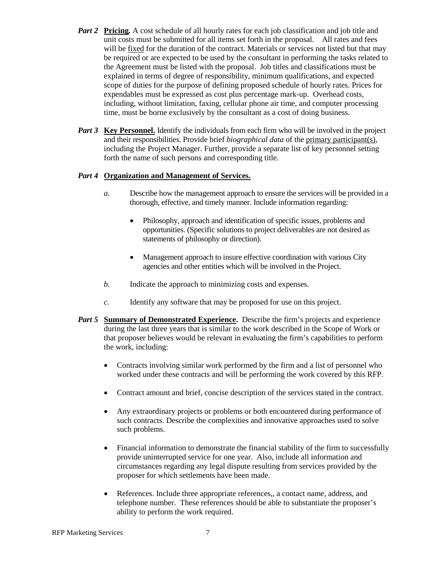- *Part 2* **Pricing***.* A cost schedule of all hourly rates for each job classification and job title and unit costs must be submitted for all items set forth in the proposal. All rates and fees will be fixed for the duration of the contract. Materials or services not listed but that may be required or are expected to be used by the consultant in performing the tasks related to the Agreement must be listed with the proposal. Job titles and classifications must be explained in terms of degree of responsibility, minimum qualifications, and expected scope of duties for the purpose of defining proposed schedule of hourly rates. Prices for expendables must be expressed as cost plus percentage mark-up. Overhead costs, including, without limitation, faxing, cellular phone air time, and computer processing time, must be borne exclusively by the consultant as a cost of doing business.
- *Part 3* **Key Personnel.** Identify the individuals from each firm who will be involved in the project and their responsibilities. Provide brief *biographical data* of the primary participant(s), including the Project Manager. Further, provide a separate list of key personnel setting forth the name of such persons and corresponding title.

#### *Part 4* **Organization and Management of Services.**

- *a.* Describe how the management approach to ensure the services will be provided in a thorough, effective, and timely manner. Include information regarding:
	- Philosophy, approach and identification of specific issues, problems and opportunities. (Specific solutions to project deliverables are not desired as statements of philosophy or direction).
	- Management approach to insure effective coordination with various City agencies and other entities which will be involved in the Project.
- *b.* Indicate the approach to minimizing costs and expenses.
- *c.* Identify any software that may be proposed for use on this project.
- *Part 5* **Summary of Demonstrated Experience.** Describe the firm's projects and experience during the last three years that is similar to the work described in the Scope of Work or that proposer believes would be relevant in evaluating the firm's capabilities to perform the work, including:
	- Contracts involving similar work performed by the firm and a list of personnel who worked under these contracts and will be performing the work covered by this RFP.
	- Contract amount and brief, concise description of the services stated in the contract.
	- Any extraordinary projects or problems or both encountered during performance of such contracts. Describe the complexities and innovative approaches used to solve such problems.
	- Financial information to demonstrate the financial stability of the firm to successfully provide uninterrupted service for one year. Also, include all information and circumstances regarding any legal dispute resulting from services provided by the proposer for which settlements have been made.
	- References. Include three appropriate references,, a contact name, address, and telephone number. These references should be able to substantiate the proposer's ability to perform the work required.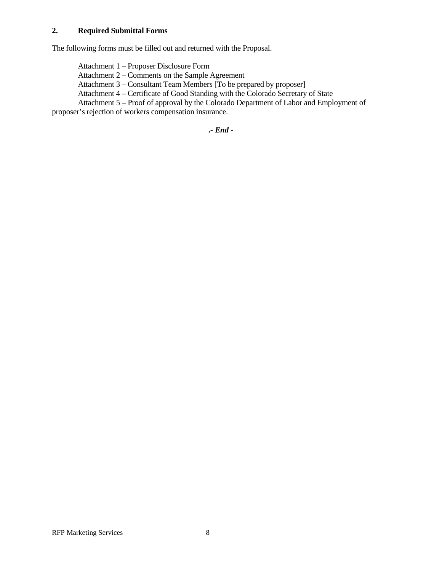#### **2. Required Submittal Forms**

The following forms must be filled out and returned with the Proposal.

Attachment 1 – Proposer Disclosure Form

Attachment 2 – Comments on the Sample Agreement

Attachment 3 – Consultant Team Members [To be prepared by proposer]

Attachment 4 – Certificate of Good Standing with the Colorado Secretary of State

Attachment 5 – Proof of approval by the Colorado Department of Labor and Employment of

proposer's rejection of workers compensation insurance.

**.***- End -*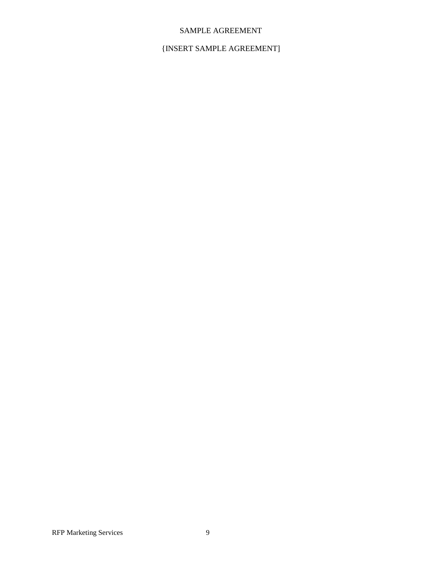## SAMPLE AGREEMENT

## {INSERT SAMPLE AGREEMENT]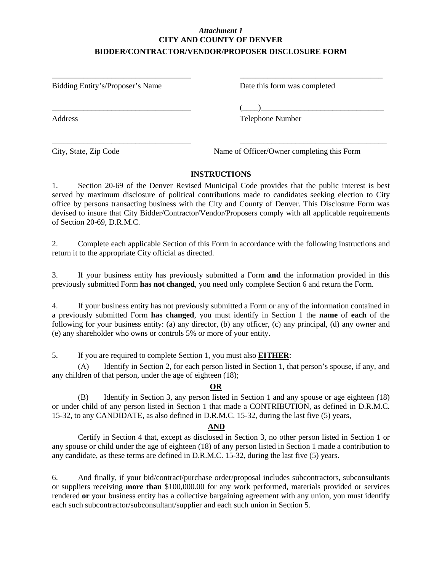## *Attachment 1* **CITY AND COUNTY OF DENVER BIDDER/CONTRACTOR/VENDOR/PROPOSER DISCLOSURE FORM**

\_\_\_\_\_\_\_\_\_\_\_\_\_\_\_\_\_\_\_\_\_\_\_\_\_\_\_\_\_\_\_\_\_\_\_ \_\_\_\_\_\_\_\_\_\_\_\_\_\_\_\_\_\_\_\_\_\_\_\_\_\_\_\_\_\_\_\_\_\_\_\_

Bidding Entity's/Proposer's Name Date this form was completed

\_\_\_\_\_\_\_\_\_\_\_\_\_\_\_\_\_\_\_\_\_\_\_\_\_\_\_\_\_\_\_\_\_\_\_ (\_\_\_\_)\_\_\_\_\_\_\_\_\_\_\_\_\_\_\_\_\_\_\_\_\_\_\_\_\_\_\_\_\_\_\_

Address Telephone Number

City, State, Zip Code Name of Officer/Owner completing this Form

## **INSTRUCTIONS**

\_\_\_\_\_\_\_\_\_\_\_\_\_\_\_\_\_\_\_\_\_\_\_\_\_\_\_\_\_\_\_\_\_\_\_ \_\_\_\_\_\_\_\_\_\_\_\_\_\_\_\_\_\_\_\_\_\_\_\_\_\_\_\_\_\_\_\_\_\_\_\_\_

1. Section 20-69 of the Denver Revised Municipal Code provides that the public interest is best served by maximum disclosure of political contributions made to candidates seeking election to City office by persons transacting business with the City and County of Denver. This Disclosure Form was devised to insure that City Bidder/Contractor/Vendor/Proposers comply with all applicable requirements of Section 20-69, D.R.M.C.

2. Complete each applicable Section of this Form in accordance with the following instructions and return it to the appropriate City official as directed.

3. If your business entity has previously submitted a Form **and** the information provided in this previously submitted Form **has not changed**, you need only complete Section 6 and return the Form.

4. If your business entity has not previously submitted a Form or any of the information contained in a previously submitted Form **has changed**, you must identify in Section 1 the **name** of **each** of the following for your business entity: (a) any director, (b) any officer, (c) any principal, (d) any owner and (e) any shareholder who owns or controls 5% or more of your entity.

5. If you are required to complete Section 1, you must also **EITHER**:

(A) Identify in Section 2, for each person listed in Section 1, that person's spouse, if any, and any children of that person, under the age of eighteen (18);

## **OR**

(B) Identify in Section 3, any person listed in Section 1 and any spouse or age eighteen (18) or under child of any person listed in Section 1 that made a CONTRIBUTION, as defined in D.R.M.C. 15-32, to any CANDIDATE, as also defined in D.R.M.C. 15-32, during the last five (5) years,

## **AND**

Certify in Section 4 that, except as disclosed in Section 3, no other person listed in Section 1 or any spouse or child under the age of eighteen (18) of any person listed in Section 1 made a contribution to any candidate, as these terms are defined in D.R.M.C. 15-32, during the last five (5) years.

6. And finally, if your bid/contract/purchase order/proposal includes subcontractors, subconsultants or suppliers receiving **more than** \$100,000.00 for any work performed, materials provided or services rendered **or** your business entity has a collective bargaining agreement with any union, you must identify each such subcontractor/subconsultant/supplier and each such union in Section 5.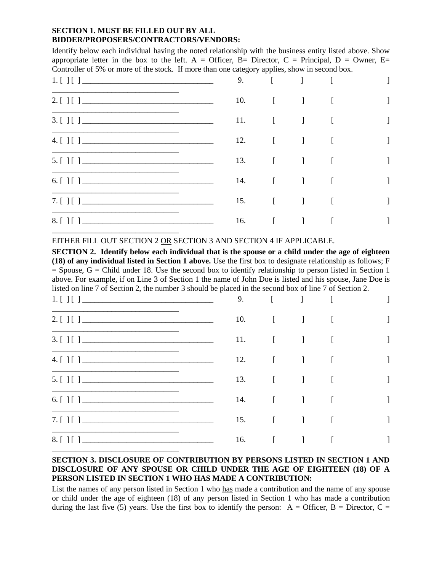#### **SECTION 1. MUST BE FILLED OUT BY ALL BIDDER/PROPOSERS/CONTRACTORS/VENDORS:**

Identify below each individual having the noted relationship with the business entity listed above. Show appropriate letter in the box to the left. A = Officer, B= Director, C = Principal, D = Owner, E= Controller of 5% or more of the stock. If more than one category applies, show in second box.

| 1. [ ] [ ]   | 9.  |                                                        | $\begin{bmatrix} 1 & 1 & 1 \end{bmatrix}$ |   |
|--------------|-----|--------------------------------------------------------|-------------------------------------------|---|
| 2. [ ] [ ]   | 10. | $\begin{bmatrix} 1 & 1 & 1 \\ 1 & 1 & 1 \end{bmatrix}$ |                                           |   |
| 3. [ ] [ ]   | 11. | $\begin{bmatrix} 1 & 1 & 1 \\ 1 & 1 & 1 \end{bmatrix}$ |                                           |   |
| 4. [ ] [ ]   | 12. | $\begin{bmatrix} 1 & 1 & 1 \\ 1 & 1 & 1 \end{bmatrix}$ |                                           |   |
| 5. [ ] [ ]   |     | 13. [ ] [                                              |                                           |   |
| 6. [ ] [ ] ] | 14. |                                                        | $\begin{bmatrix} 1 & 1 & 1 \end{bmatrix}$ |   |
| 7. [ ] [ ]   | 15. | $\begin{bmatrix} 1 & 1 & 1 \\ 1 & 1 & 1 \end{bmatrix}$ |                                           | 1 |
| 8. [ ] [ ]   |     | 16. [ ] [                                              |                                           |   |
|              |     |                                                        |                                           |   |

EITHER FILL OUT SECTION 2 OR SECTION 3 AND SECTION 4 IF APPLICABLE.

**SECTION 2. Identify below each individual that is the spouse or a child under the age of eighteen (18) of any individual listed in Section 1 above.** Use the first box to designate relationship as follows; F  $=$  Spouse,  $G =$  Child under 18. Use the second box to identify relationship to person listed in Section 1 above. For example, if on Line 3 of Section 1 the name of John Doe is listed and his spouse, Jane Doe is listed on line 7 of Section 2, the number 3 should be placed in the second box of line 7 of Section 2.

| 1. [ ] [ ]   | 9.  |                                                        | $\begin{bmatrix} 1 & 1 \end{bmatrix}$                  |  |
|--------------|-----|--------------------------------------------------------|--------------------------------------------------------|--|
| 2. [ ] [ ]   | 10. |                                                        | $\begin{bmatrix} 1 & 1 & 1 \\ 1 & 1 & 1 \end{bmatrix}$ |  |
| 3. [ ] [ ]   | 11. | $\begin{bmatrix} 1 & 1 & 1 \\ 1 & 1 & 1 \end{bmatrix}$ |                                                        |  |
| 4. [ ] [ ]   | 12. |                                                        | $\begin{bmatrix} 1 & 1 & 1 \\ 1 & 1 & 1 \end{bmatrix}$ |  |
| 5. [ ] [ ]   |     | 13. [ ] [                                              |                                                        |  |
| 6. [ ] [ ] ] | 14. |                                                        | $\begin{bmatrix} 1 & 1 \end{bmatrix}$                  |  |
| 7. [ ] [ ]   | 15. |                                                        | $[$ $]$ $[$                                            |  |
| 8. [ ] [ ]   | 16. | $\begin{bmatrix} 1 & 1 \\ 1 & 1 \end{bmatrix}$         |                                                        |  |
|              |     |                                                        |                                                        |  |

## **SECTION 3. DISCLOSURE OF CONTRIBUTION BY PERSONS LISTED IN SECTION 1 AND DISCLOSURE OF ANY SPOUSE OR CHILD UNDER THE AGE OF EIGHTEEN (18) OF A PERSON LISTED IN SECTION 1 WHO HAS MADE A CONTRIBUTION:**

List the names of any person listed in Section 1 who has made a contribution and the name of any spouse or child under the age of eighteen (18) of any person listed in Section 1 who has made a contribution during the last five (5) years. Use the first box to identify the person:  $A =$  Officer,  $B =$  Director,  $C =$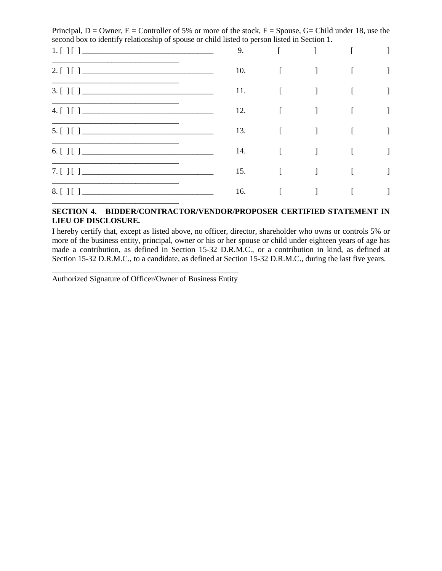Principal,  $D =$  Owner,  $E =$  Controller of 5% or more of the stock,  $F =$  Spouse,  $G =$  Child under 18, use the second box to identify relationship of spouse or child listed to person listed in Section 1.

| 1. [ ] [ ] | 9.  |        |              |  |
|------------|-----|--------|--------------|--|
| 2. [ ] [ ] | 10. |        |              |  |
| 3. [ ] [ ] | 11. | $\Box$ |              |  |
| 4. [ ] [ ] | 12. |        | $\mathbf{I}$ |  |
| 5. [ ] [ ] | 13. |        | $\mathbf{I}$ |  |
| 6. [ ] [ ] | 14. | $\Box$ | $\mathbf{I}$ |  |
| 7. [ ] [ ] | 15. |        |              |  |
|            | 16. |        |              |  |
|            |     |        |              |  |

#### **SECTION 4. BIDDER/CONTRACTOR/VENDOR/PROPOSER CERTIFIED STATEMENT IN LIEU OF DISCLOSURE.**

I hereby certify that, except as listed above, no officer, director, shareholder who owns or controls 5% or more of the business entity, principal, owner or his or her spouse or child under eighteen years of age has made a contribution, as defined in Section 15-32 D.R.M.C., or a contribution in kind, as defined at Section 15-32 D.R.M.C., to a candidate, as defined at Section 15-32 D.R.M.C., during the last five years.

\_\_\_\_\_\_\_\_\_\_\_\_\_\_\_\_\_\_\_\_\_\_\_\_\_\_\_\_\_\_\_\_\_\_\_\_\_\_\_\_\_\_\_\_\_\_\_ Authorized Signature of Officer/Owner of Business Entity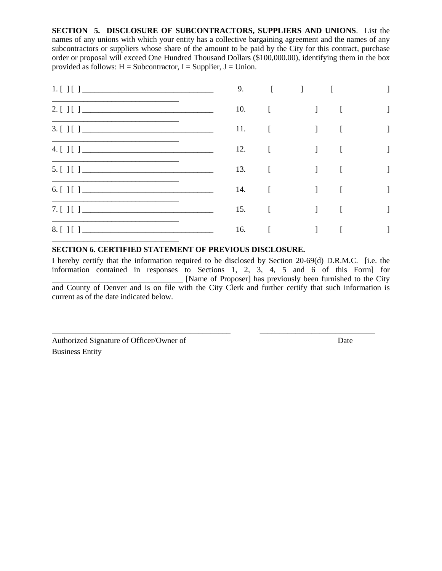**SECTION 5. DISCLOSURE OF SUBCONTRACTORS, SUPPLIERS AND UNIONS**. List the names of any unions with which your entity has a collective bargaining agreement and the names of any subcontractors or suppliers whose share of the amount to be paid by the City for this contract, purchase order or proposal will exceed One Hundred Thousand Dollars (\$100,000.00), identifying them in the box provided as follows:  $H =$  Subcontractor, I = Supplier, J = Union.

| 1. [ ] [ ]   | 9.  | $\overline{1}$                                         |                                                             |              |
|--------------|-----|--------------------------------------------------------|-------------------------------------------------------------|--------------|
| 2. [ ] [ ]   | 10. | $\begin{bmatrix} 1 & 1 & 1 \\ 1 & 1 & 1 \end{bmatrix}$ |                                                             |              |
| 3. [ ] [ ]   | 11. | $\begin{bmatrix} 1 & 1 & 1 \\ 1 & 1 & 1 \end{bmatrix}$ | $\begin{array}{c} \begin{array}{c} \end{array} \end{array}$ | $\mathbf{I}$ |
| 4. [ ] [ ]   | 12. | $\begin{bmatrix} 1 & 1 & 1 \end{bmatrix}$              | $\overline{a}$                                              | 1            |
| 5. [ ] [ ]   | 13. | $\begin{bmatrix} 1 & 1 & 1 \\ 1 & 1 & 1 \end{bmatrix}$ | $\Box$                                                      | 1            |
| 6. [ ] [ ] ] | 14. | $\begin{bmatrix} 1 & 1 & 1 \\ 1 & 1 & 1 \end{bmatrix}$ | $\Box$                                                      |              |
| 7. [ ] [ ]   | 15. | $\begin{bmatrix} 1 & 1 & 1 \end{bmatrix}$              | $\left[ \right]$                                            | 1            |
| 8. [ ] [ ]   | 16. | $\begin{bmatrix} 1 & 1 & 1 \\ 1 & 1 & 1 \end{bmatrix}$ |                                                             |              |
|              |     |                                                        |                                                             |              |

## **SECTION 6. CERTIFIED STATEMENT OF PREVIOUS DISCLOSURE.**

I hereby certify that the information required to be disclosed by Section 20-69(d) D.R.M.C. [i.e. the information contained in responses to Sections 1, 2, 3, 4, 5 and 6 of this Form] for \_\_\_\_\_\_\_\_\_\_\_\_\_\_\_\_\_\_\_\_\_\_\_\_\_\_\_\_\_\_\_\_\_ [Name of Proposer] has previously been furnished to the City and County of Denver and is on file with the City Clerk and further certify that such information is current as of the date indicated below.

\_\_\_\_\_\_\_\_\_\_\_\_\_\_\_\_\_\_\_\_\_\_\_\_\_\_\_\_\_\_\_\_\_\_\_\_\_\_\_\_\_\_\_\_\_ \_\_\_\_\_\_\_\_\_\_\_\_\_\_\_\_\_\_\_\_\_\_\_\_\_\_\_\_\_

Authorized Signature of Officer/Owner of Date Business Entity